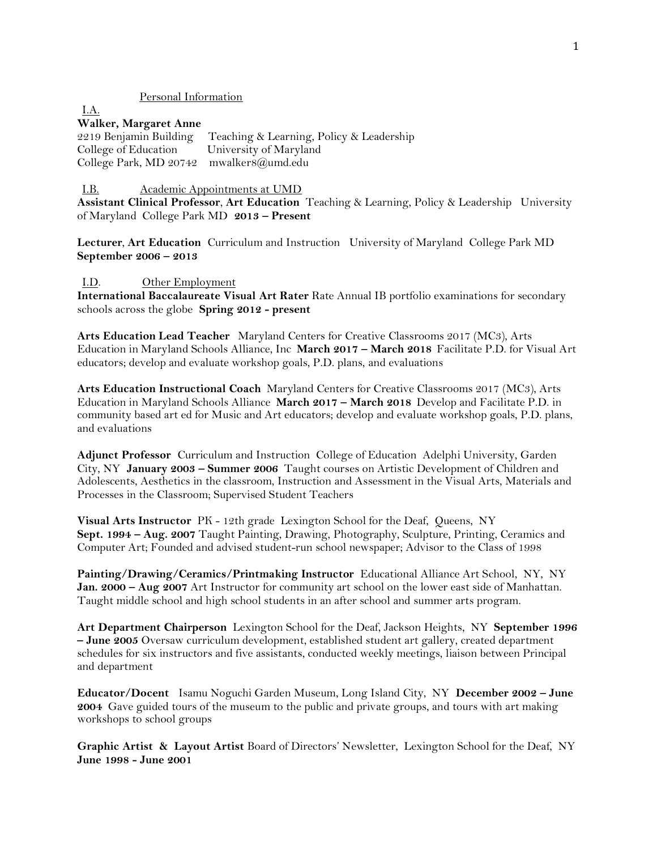#### Personal Information

I.A.

**Walker, Margaret Anne**

2219 Benjamin Building Teaching & Learning, Policy & Leadership College of Education University of Maryland College Park, MD 20742 mwalker8@umd.edu

#### I.B. Academic Appointments at UMD

**Assistant Clinical Professor**, **Art Education** Teaching & Learning, Policy & Leadership University of Maryland College Park MD **2013 – Present**

**Lecturer**, **Art Education** Curriculum and Instruction University of Maryland College Park MD **September 2006 – 2013**

#### I.D. Other Employment

**International Baccalaureate Visual Art Rater** Rate Annual IB portfolio examinations for secondary schools across the globe **Spring 2012 - present**

**Arts Education Lead Teacher** Maryland Centers for Creative Classrooms 2017 (MC3), Arts Education in Maryland Schools Alliance, Inc **March 2017 – March 2018** Facilitate P.D. for Visual Art educators; develop and evaluate workshop goals, P.D. plans, and evaluations

**Arts Education Instructional Coach** Maryland Centers for Creative Classrooms 2017 (MC3), Arts Education in Maryland Schools Alliance **March 2017 – March 2018** Develop and Facilitate P.D. in community based art ed for Music and Art educators; develop and evaluate workshop goals, P.D. plans, and evaluations

**Adjunct Professor** Curriculum and Instruction College of Education Adelphi University, Garden City, NY **January 2003 – Summer 2006** Taught courses on Artistic Development of Children and Adolescents, Aesthetics in the classroom, Instruction and Assessment in the Visual Arts, Materials and Processes in the Classroom; Supervised Student Teachers

**Visual Arts Instructor** PK - 12th grade Lexington School for the Deaf, Queens, NY **Sept. 1994 – Aug. 2007** Taught Painting, Drawing, Photography, Sculpture, Printing, Ceramics and Computer Art; Founded and advised student-run school newspaper; Advisor to the Class of 1998

**Painting/Drawing/Ceramics/Printmaking Instructor** Educational Alliance Art School, NY, NY **Jan. 2000 – Aug 2007** Art Instructor for community art school on the lower east side of Manhattan. Taught middle school and high school students in an after school and summer arts program.

**Art Department Chairperson** Lexington School for the Deaf, Jackson Heights, NY **September 1996 – June 2005** Oversaw curriculum development, established student art gallery, created department schedules for six instructors and five assistants, conducted weekly meetings, liaison between Principal and department

**Educator/Docent** Isamu Noguchi Garden Museum, Long Island City, NY **December 2002 – June 2004** Gave guided tours of the museum to the public and private groups, and tours with art making workshops to school groups

**Graphic Artist & Layout Artist** Board of Directors' Newsletter, Lexington School for the Deaf, NY **June 1998 - June 2001**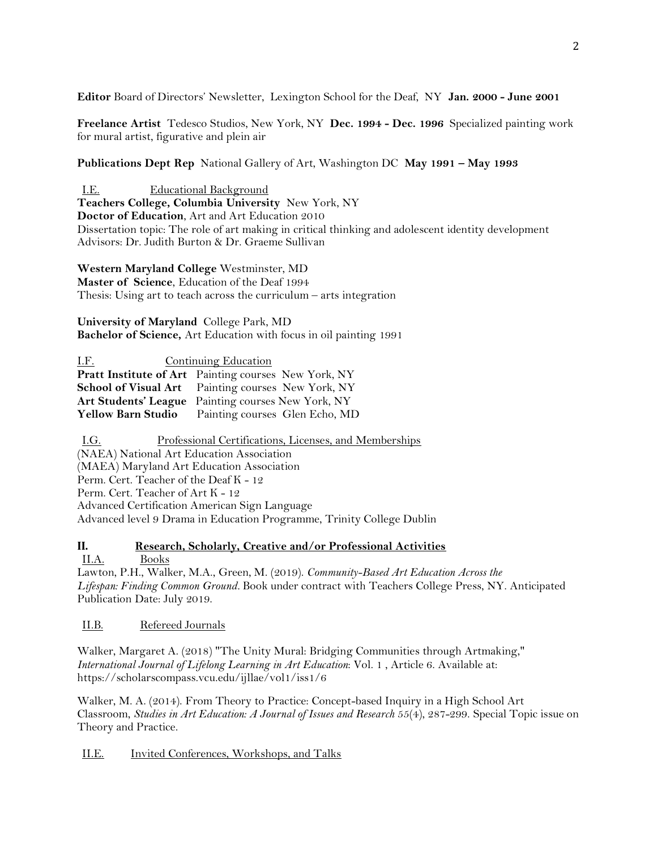**Editor** Board of Directors' Newsletter, Lexington School for the Deaf, NY **Jan. 2000 - June 2001**

**Freelance Artist** Tedesco Studios, New York, NY **Dec. 1994 - Dec. 1996** Specialized painting work for mural artist, figurative and plein air

**Publications Dept Rep** National Gallery of Art, Washington DC **May 1991 – May 1993**

I.E. Educational Background **Teachers College, Columbia University** New York, NY **Doctor of Education**, Art and Art Education 2010 Dissertation topic: The role of art making in critical thinking and adolescent identity development Advisors: Dr. Judith Burton & Dr. Graeme Sullivan

**Western Maryland College** Westminster, MD **Master of Science**, Education of the Deaf 1994 Thesis: Using art to teach across the curriculum – arts integration

**University of Maryland** College Park, MD **Bachelor of Science,** Art Education with focus in oil painting 1991

| I.F. | Continuing Education                                 |
|------|------------------------------------------------------|
|      | Pratt Institute of Art Painting courses New York, NY |
|      | School of Visual Art Painting courses New York, NY   |
|      | Art Students' League Painting courses New York, NY   |
|      | Yellow Barn Studio Painting courses Glen Echo, MD    |

I.G. Professional Certifications, Licenses, and Memberships (NAEA) National Art Education Association (MAEA) Maryland Art Education Association Perm. Cert. Teacher of the Deaf K - 12 Perm. Cert. Teacher of Art K - 12 Advanced Certification American Sign Language Advanced level 9 Drama in Education Programme, Trinity College Dublin

# **II. Research, Scholarly, Creative and/or Professional Activities**

II.A. Books Lawton, P.H., Walker, M.A., Green, M. (2019). *Community-Based Art Education Across the Lifespan: Finding Common Ground.* Book under contract with Teachers College Press, NY. Anticipated Publication Date: July 2019.

II.B. Refereed Journals

Walker, Margaret A. (2018) "The Unity Mural: Bridging Communities through Artmaking," *International Journal of Lifelong Learning in Art Education*: Vol. 1 , Article 6. Available at: https://scholarscompass.vcu.edu/ijllae/vol1/iss1/6

Walker, M. A. (2014). From Theory to Practice: Concept-based Inquiry in a High School Art Classroom, *Studies in Art Education: A Journal of Issues and Research* 55(4), 287-299. Special Topic issue on Theory and Practice.

II.E. Invited Conferences, Workshops, and Talks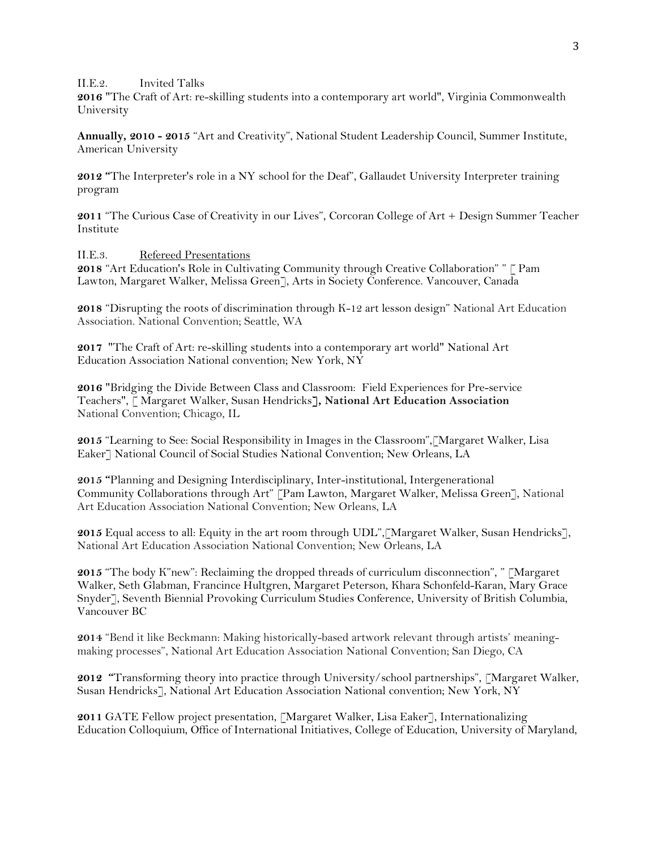II.E.2. Invited Talks

**2016** "The Craft of Art: re-skilling students into a contemporary art world", Virginia Commonwealth University

**Annually, 2010 - 2015** "Art and Creativity", National Student Leadership Council, Summer Institute, American University

**2012 "**The Interpreter's role in a NY school for the Deaf", Gallaudet University Interpreter training program

**2011** "The Curious Case of Creativity in our Lives", Corcoran College of Art + Design Summer Teacher Institute

II.E.3. Refereed Presentations

**2018** "Art Education's Role in Cultivating Community through Creative Collaboration" " [ Pam Lawton, Margaret Walker, Melissa Green], Arts in Society Conference. Vancouver, Canada

**2018** "Disrupting the roots of discrimination through K-12 art lesson design" National Art Education Association. National Convention; Seattle, WA

**2017** "The Craft of Art: re-skilling students into a contemporary art world" National Art Education Association National convention; New York, NY

**2016** "Bridging the Divide Between Class and Classroom: Field Experiences for Pre-service Teachers", [ Margaret Walker, Susan Hendricks**], National Art Education Association** National Convention; Chicago, IL

**2015** "Learning to See: Social Responsibility in Images in the Classroom",[Margaret Walker, Lisa Eaker] National Council of Social Studies National Convention; New Orleans, LA

**2015 "**Planning and Designing Interdisciplinary, Inter-institutional, Intergenerational Community Collaborations through Art" [Pam Lawton, Margaret Walker, Melissa Green], National Art Education Association National Convention; New Orleans, LA

**2015** Equal access to all: Equity in the art room through UDL",[Margaret Walker, Susan Hendricks], National Art Education Association National Convention; New Orleans, LA

**2015** "The body K"new": Reclaiming the dropped threads of curriculum disconnection", " [Margaret Walker, Seth Glabman, Francince Hultgren, Margaret Peterson, Khara Schonfeld-Karan, Mary Grace Snyder], Seventh Biennial Provoking Curriculum Studies Conference, University of British Columbia, Vancouver BC

**2014** "Bend it like Beckmann: Making historically-based artwork relevant through artists' meaningmaking processes", National Art Education Association National Convention; San Diego, CA

**2012 "**Transforming theory into practice through University/school partnerships", [Margaret Walker, Susan Hendricks], National Art Education Association National convention; New York, NY

**2011** GATE Fellow project presentation, [Margaret Walker, Lisa Eaker], Internationalizing Education Colloquium, Office of International Initiatives, College of Education, University of Maryland,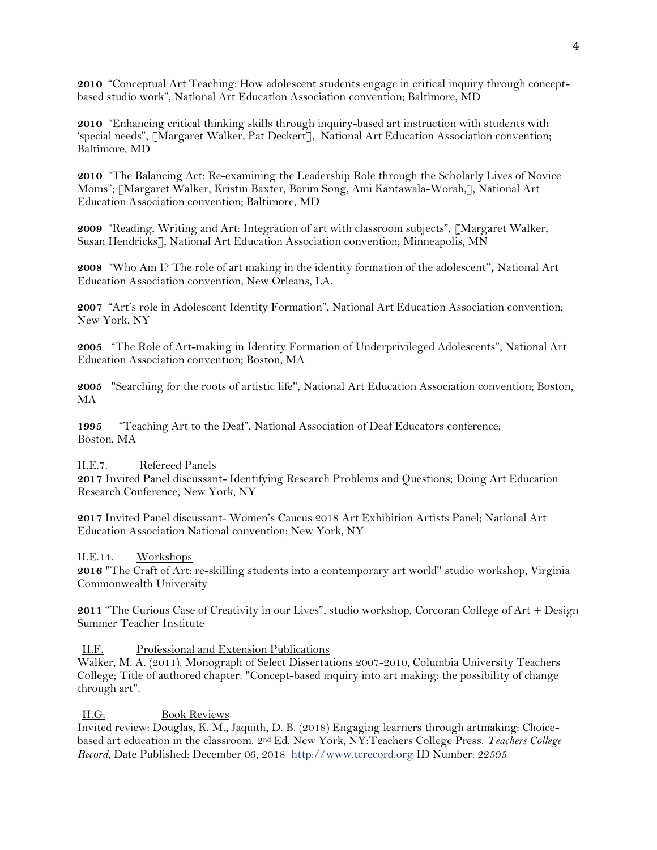**2010** "Conceptual Art Teaching: How adolescent students engage in critical inquiry through conceptbased studio work", National Art Education Association convention; Baltimore, MD

**2010** "Enhancing critical thinking skills through inquiry-based art instruction with students with 'special needs", [Margaret Walker, Pat Deckert],National Art Education Association convention; Baltimore, MD

**2010** "The Balancing Act: Re-examining the Leadership Role through the Scholarly Lives of Novice Moms"; [Margaret Walker, Kristin Baxter, Borim Song, Ami Kantawala-Worah,], National Art Education Association convention; Baltimore, MD

**2009** "Reading, Writing and Art: Integration of art with classroom subjects", [Margaret Walker, Susan Hendricks], National Art Education Association convention; Minneapolis, MN

**2008** "Who Am I? The role of art making in the identity formation of the adolescent**",** National Art Education Association convention; New Orleans, LA.

**2007** "Art's role in Adolescent Identity Formation", National Art Education Association convention; New York, NY

**2005** "The Role of Art-making in Identity Formation of Underprivileged Adolescents", National Art Education Association convention; Boston, MA

**2005** "Searching for the roots of artistic life", National Art Education Association convention; Boston, MA

**1995** "Teaching Art to the Deaf", National Association of Deaf Educators conference; Boston, MA

II.E.7. Refereed Panels

**2017** Invited Panel discussant- Identifying Research Problems and Questions; Doing Art Education Research Conference, New York, NY

**2017** Invited Panel discussant- Women's Caucus 2018 Art Exhibition Artists Panel; National Art Education Association National convention; New York, NY

II.E.14. Workshops

**2016** "The Craft of Art: re-skilling students into a contemporary art world" studio workshop, Virginia Commonwealth University

**2011** "The Curious Case of Creativity in our Lives", studio workshop, Corcoran College of Art + Design Summer Teacher Institute

II.F. Professional and Extension Publications

Walker, M. A. (2011). Monograph of Select Dissertations 2007-2010, Columbia University Teachers College; Title of authored chapter: "Concept-based inquiry into art making: the possibility of change through art".

II.G. Book Reviews

Invited review: Douglas, K. M., Jaquith, D. B. (2018) Engaging learners through artmaking: Choicebased art education in the classroom. 2nd Ed. New York, NY:Teachers College Press. *Teachers College Record*, Date Published: December 06, 2018 [http://www.tcrecord.org](http://www.tcrecord.org/Home.asp) ID Number: 22595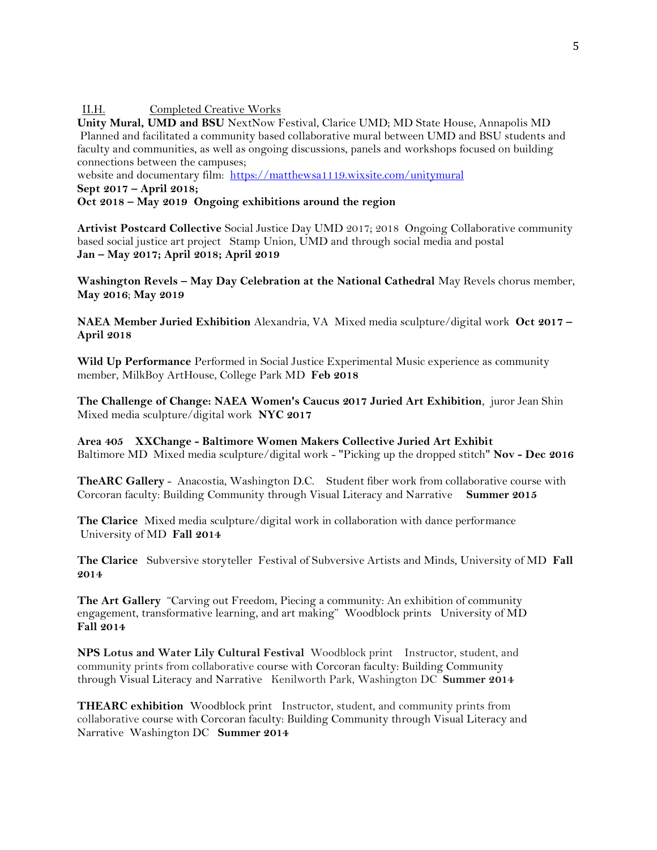II.H. Completed Creative Works

**Unity Mural, UMD and BSU** NextNow Festival, Clarice UMD; MD State House, Annapolis MD Planned and facilitated a community based collaborative mural between UMD and BSU students and faculty and communities, as well as ongoing discussions, panels and workshops focused on building connections between the campuses;

website and documentary film: <https://matthewsa1119.wixsite.com/unitymural>

**Sept 2017 – April 2018;** 

**Oct 2018 – May 2019 Ongoing exhibitions around the region**

**Artivist Postcard Collective** Social Justice Day UMD 2017; 2018 Ongoing Collaborative community based social justice art project Stamp Union, UMD and through social media and postal **Jan – May 2017; April 2018; April 2019**

**Washington Revels – May Day Celebration at the National Cathedral** May Revels chorus member, **May 2016**; **May 2019**

**NAEA Member Juried Exhibition** Alexandria, VA Mixed media sculpture/digital work **Oct 2017 – April 2018**

**Wild Up Performance** Performed in Social Justice Experimental Music experience as community member, MilkBoy ArtHouse, College Park MD **Feb 2018**

**The Challenge of Change: NAEA Women's Caucus 2017 Juried Art Exhibition**, juror Jean Shin Mixed media sculpture/digital work **NYC 2017**

**Area 405 XXChange - Baltimore Women Makers Collective Juried Art Exhibit** Baltimore MD Mixed media sculpture/digital work - "Picking up the dropped stitch" **Nov - Dec 2016** 

**TheARC Gallery** - Anacostia, Washington D.C. Student fiber work from collaborative course with Corcoran faculty: Building Community through Visual Literacy and Narrative **Summer 2015**

**The Clarice** Mixed media sculpture/digital work in collaboration with dance performance University of MD **Fall 2014**

**The Clarice** Subversive storyteller Festival of Subversive Artists and Minds, University of MD **Fall 2014**

**The Art Gallery** "Carving out Freedom, Piecing a community: An exhibition of community engagement, transformative learning, and art making" Woodblock prints University of MD **Fall 2014**

**NPS Lotus and Water Lily Cultural Festival** Woodblock print Instructor, student, and community prints from collaborative course with Corcoran faculty: Building Community through Visual Literacy and Narrative Kenilworth Park, Washington DC **Summer 2014**

**THEARC exhibition** Woodblock printInstructor, student, and community prints from collaborative course with Corcoran faculty: Building Community through Visual Literacy and Narrative Washington DC **Summer 2014**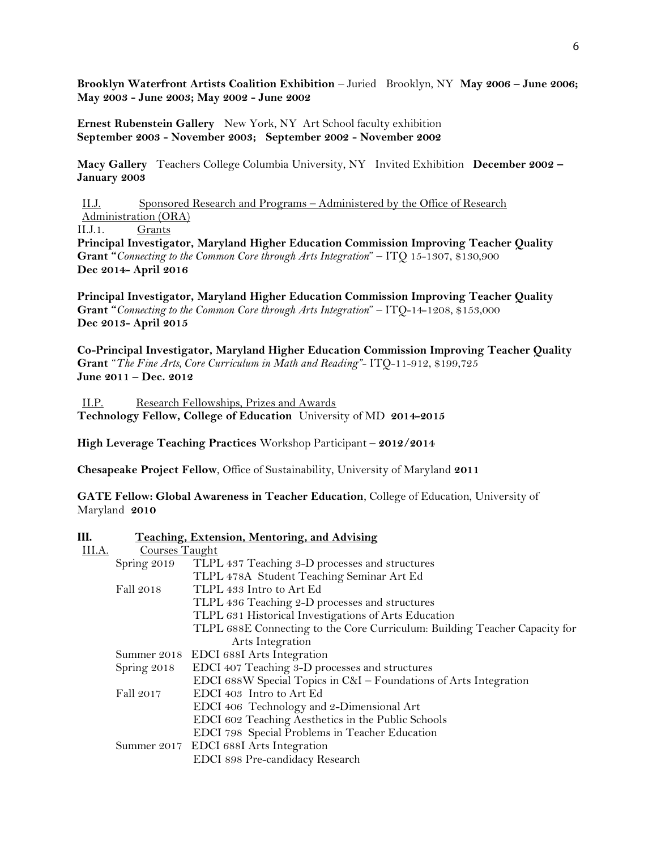**Brooklyn Waterfront Artists Coalition Exhibition** – JuriedBrooklyn, NY **May 2006 – June 2006; May 2003 - June 2003; May 2002 - June 2002**

**Ernest Rubenstein Gallery** New York, NY Art School faculty exhibition **September 2003 - November 2003; September 2002 - November 2002**

**Macy Gallery** Teachers College Columbia University, NY Invited Exhibition **December 2002 – January 2003**

II.J. Sponsored Research and Programs – Administered by the Office of Research Administration (ORA) II.J.1. Grants **Principal Investigator, Maryland Higher Education Commission Improving Teacher Quality Grant "***Connecting to the Common Core through Arts Integration*" – ITQ 15-1307, \$130,900

**Dec 2014- April 2016**

**Principal Investigator, Maryland Higher Education Commission Improving Teacher Quality Grant "***Connecting to the Common Core through Arts Integration*" – ITQ-14-1208, \$153,000 **Dec 2013- April 2015**

**Co-Principal Investigator, Maryland Higher Education Commission Improving Teacher Quality Grant** "*The Fine Arts, Core Curriculum in Math and Reading"*- ITQ-11-912, \$199,725 **June 2011 – Dec. 2012**

II.P. Research Fellowships, Prizes and Awards **Technology Fellow, College of Education** University of MD **2014-2015**

**High Leverage Teaching Practices** Workshop Participant – **2012/2014**

**Chesapeake Project Fellow**, Office of Sustainability, University of Maryland **2011**

**GATE Fellow: Global Awareness in Teacher Education**, College of Education, University of Maryland **2010**

| III.   |                | <b>Teaching, Extension, Mentoring, and Advising</b>                        |
|--------|----------------|----------------------------------------------------------------------------|
| III.A. | Courses Taught |                                                                            |
|        | Spring 2019    | TLPL 437 Teaching 3-D processes and structures                             |
|        |                | TLPL 478A Student Teaching Seminar Art Ed                                  |
|        | Fall 2018      | TLPL 433 Intro to Art Ed                                                   |
|        |                | TLPL 436 Teaching 2-D processes and structures                             |
|        |                | TLPL 631 Historical Investigations of Arts Education                       |
|        |                | TLPL 688E Connecting to the Core Curriculum: Building Teacher Capacity for |
|        |                | Arts Integration                                                           |
|        |                | Summer 2018 EDCI 688I Arts Integration                                     |
|        | Spring 2018    | EDCI 407 Teaching 3-D processes and structures                             |
|        |                | EDCI 688W Special Topics in C&I - Foundations of Arts Integration          |
|        | Fall 2017      | EDCI 403 Intro to Art Ed                                                   |
|        |                | EDCI 406 Technology and 2-Dimensional Art                                  |
|        |                | EDCI 602 Teaching Aesthetics in the Public Schools                         |
|        |                | EDCI 798 Special Problems in Teacher Education                             |
|        |                | Summer 2017 EDCI 688I Arts Integration                                     |
|        |                | EDCI 898 Pre-candidacy Research                                            |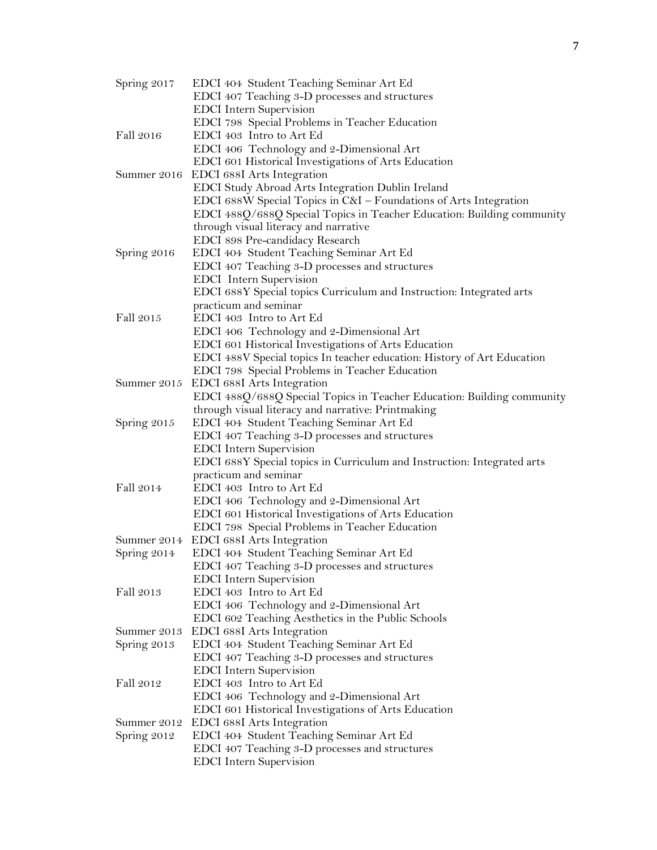| Spring 2017 | EDCI 404 Student Teaching Seminar Art Ed                                |
|-------------|-------------------------------------------------------------------------|
|             | EDCI 407 Teaching 3-D processes and structures                          |
|             | <b>EDCI</b> Intern Supervision                                          |
|             | EDCI 798 Special Problems in Teacher Education                          |
| Fall 2016   | EDCI 403 Intro to Art Ed                                                |
|             | EDCI 406 Technology and 2-Dimensional Art                               |
|             | EDCI 601 Historical Investigations of Arts Education                    |
|             | Summer 2016 EDCI 688I Arts Integration                                  |
|             | EDCI Study Abroad Arts Integration Dublin Ireland                       |
|             |                                                                         |
|             | EDCI 688W Special Topics in C&I - Foundations of Arts Integration       |
|             | EDCI 488Q/688Q Special Topics in Teacher Education: Building community  |
|             | through visual literacy and narrative                                   |
|             | EDCI 898 Pre-candidacy Research                                         |
| Spring 2016 | EDCI 404 Student Teaching Seminar Art Ed                                |
|             | EDCI 407 Teaching 3-D processes and structures                          |
|             | <b>EDCI</b> Intern Supervision                                          |
|             | EDCI 688Y Special topics Curriculum and Instruction: Integrated arts    |
|             | practicum and seminar                                                   |
| Fall 2015   | EDCI 403 Intro to Art Ed                                                |
|             | EDCI 406 Technology and 2-Dimensional Art                               |
|             | EDCI 601 Historical Investigations of Arts Education                    |
|             | EDCI 488V Special topics In teacher education: History of Art Education |
|             | EDCI 798 Special Problems in Teacher Education                          |
| Summer 2015 | EDCI 688I Arts Integration                                              |
|             | EDCI 488Q/688Q Special Topics in Teacher Education: Building community  |
|             | through visual literacy and narrative: Printmaking                      |
| Spring 2015 | EDCI 404 Student Teaching Seminar Art Ed                                |
|             | EDCI 407 Teaching 3-D processes and structures                          |
|             | <b>EDCI</b> Intern Supervision                                          |
|             | EDCI 688Y Special topics in Curriculum and Instruction: Integrated arts |
|             |                                                                         |
|             | practicum and seminar                                                   |
| Fall 2014   | EDCI 403 Intro to Art Ed                                                |
|             | EDCI 406 Technology and 2-Dimensional Art                               |
|             | EDCI 601 Historical Investigations of Arts Education                    |
|             | EDCI 798 Special Problems in Teacher Education                          |
|             | Summer 2014 EDCI 688I Arts Integration                                  |
| Spring 2014 | EDCI 404 Student Teaching Seminar Art Ed                                |
|             | EDCI 407 Teaching 3-D processes and structures                          |
|             | <b>EDCI</b> Intern Supervision                                          |
| Fall 2013   | EDCI 403 Intro to Art Ed                                                |
|             | EDCI 406 Technology and 2-Dimensional Art                               |
|             | EDCI 602 Teaching Aesthetics in the Public Schools                      |
| Summer 2013 | EDCI 688I Arts Integration                                              |
| Spring 2013 | EDCI 404 Student Teaching Seminar Art Ed                                |
|             | EDCI 407 Teaching 3-D processes and structures                          |
|             | <b>EDCI</b> Intern Supervision                                          |
| Fall 2012   | EDCI 403 Intro to Art Ed                                                |
|             | EDCI 406 Technology and 2-Dimensional Art                               |
|             | EDCI 601 Historical Investigations of Arts Education                    |
| Summer 2012 | EDCI 688I Arts Integration                                              |
| Spring 2012 | EDCI 404 Student Teaching Seminar Art Ed                                |
|             | EDCI 407 Teaching 3-D processes and structures                          |
|             |                                                                         |
|             | <b>EDCI</b> Intern Supervision                                          |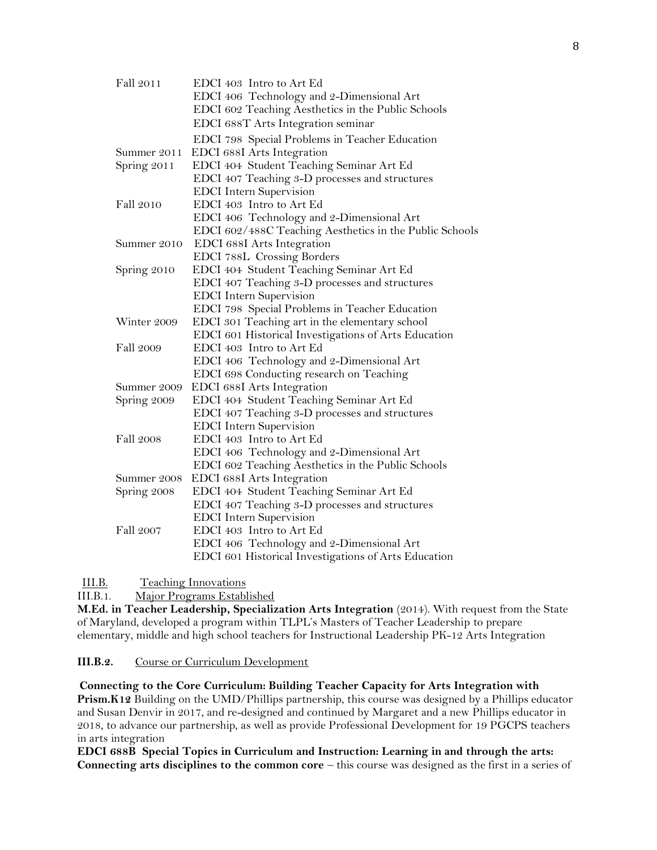| Fall 2011   | EDCI 403 Intro to Art Ed                                |
|-------------|---------------------------------------------------------|
|             | EDCI 406 Technology and 2-Dimensional Art               |
|             | EDCI 602 Teaching Aesthetics in the Public Schools      |
|             | EDCI 688T Arts Integration seminar                      |
|             | EDCI 798 Special Problems in Teacher Education          |
| Summer 2011 | EDCI 688I Arts Integration                              |
| Spring 2011 | EDCI 404 Student Teaching Seminar Art Ed                |
|             | EDCI 407 Teaching 3-D processes and structures          |
|             | <b>EDCI</b> Intern Supervision                          |
| Fall 2010   | EDCI 403 Intro to Art Ed                                |
|             | EDCI 406 Technology and 2-Dimensional Art               |
|             | EDCI 602/488C Teaching Aesthetics in the Public Schools |
| Summer 2010 | EDCI 688I Arts Integration                              |
|             | EDCI 788L Crossing Borders                              |
| Spring 2010 | EDCI 404 Student Teaching Seminar Art Ed                |
|             | EDCI 407 Teaching 3-D processes and structures          |
|             | <b>EDCI</b> Intern Supervision                          |
|             | EDCI 798 Special Problems in Teacher Education          |
| Winter 2009 | EDCI 301 Teaching art in the elementary school          |
|             | EDCI 601 Historical Investigations of Arts Education    |
| Fall 2009   | EDCI 403 Intro to Art Ed                                |
|             | EDCI 406 Technology and 2-Dimensional Art               |
|             | EDCI 698 Conducting research on Teaching                |
| Summer 2009 | EDCI 688I Arts Integration                              |
| Spring 2009 | EDCI 404 Student Teaching Seminar Art Ed                |
|             | EDCI 407 Teaching 3-D processes and structures          |
|             | <b>EDCI</b> Intern Supervision                          |
| Fall 2008   | EDCI 403 Intro to Art Ed                                |
|             | EDCI 406 Technology and 2-Dimensional Art               |
|             | EDCI 602 Teaching Aesthetics in the Public Schools      |
| Summer 2008 | EDCI 688I Arts Integration                              |
| Spring 2008 | EDCI 404 Student Teaching Seminar Art Ed                |
|             | EDCI 407 Teaching 3-D processes and structures          |
|             | <b>EDCI</b> Intern Supervision                          |
| Fall 2007   | EDCI 403 Intro to Art Ed                                |
|             | EDCI 406 Technology and 2-Dimensional Art               |
|             | EDCI 601 Historical Investigations of Arts Education    |

III.B. Teaching Innovations<br>III.B.1. Maior Programs Establ

Major Programs Established

**M.Ed. in Teacher Leadership, Specialization Arts Integration** (2014). With request from the State of Maryland, developed a program within TLPL's Masters of Teacher Leadership to prepare elementary, middle and high school teachers for Instructional Leadership PK-12 Arts Integration

## **III.B.2.** Course or Curriculum Development

**Connecting to the Core Curriculum: Building Teacher Capacity for Arts Integration with Prism.K12** Building on the UMD/Phillips partnership, this course was designed by a Phillips educator and Susan Denvir in 2017, and re-designed and continued by Margaret and a new Phillips educator in 2018, to advance our partnership, as well as provide Professional Development for 19 PGCPS teachers in arts integration

**EDCI 688B Special Topics in Curriculum and Instruction: Learning in and through the arts: Connecting arts disciplines to the common core – this course was designed as the first in a series of**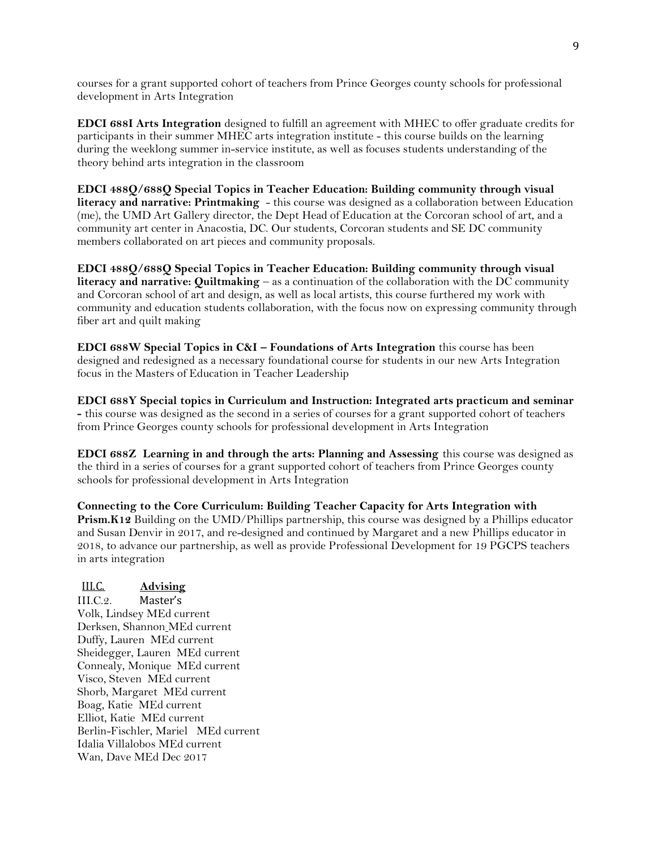courses for a grant supported cohort of teachers from Prince Georges county schools for professional development in Arts Integration

**EDCI 688I Arts Integration** designed to fulfill an agreement with MHEC to offer graduate credits for participants in their summer MHEC arts integration institute - this course builds on the learning during the weeklong summer in-service institute, as well as focuses students understanding of the theory behind arts integration in the classroom

**EDCI 488Q/688Q Special Topics in Teacher Education: Building community through visual literacy and narrative: Printmaking** - this course was designed as a collaboration between Education (me), the UMD Art Gallery director, the Dept Head of Education at the Corcoran school of art, and a community art center in Anacostia, DC. Our students, Corcoran students and SE DC community members collaborated on art pieces and community proposals.

**EDCI 488Q/688Q Special Topics in Teacher Education: Building community through visual literacy and narrative: Quiltmaking – as a continuation of the collaboration with the DC community** and Corcoran school of art and design, as well as local artists, this course furthered my work with community and education students collaboration, with the focus now on expressing community through fiber art and quilt making

**EDCI 688W Special Topics in C&I – Foundations of Arts Integration** this course has been designed and redesigned as a necessary foundational course for students in our new Arts Integration focus in the Masters of Education in Teacher Leadership

**EDCI 688Y Special topics in Curriculum and Instruction: Integrated arts practicum and seminar -** this course was designed as the second in a series of courses for a grant supported cohort of teachers from Prince Georges county schools for professional development in Arts Integration

**EDCI 688Z Learning in and through the arts: Planning and Assessing** this course was designed as the third in a series of courses for a grant supported cohort of teachers from Prince Georges county schools for professional development in Arts Integration

**Connecting to the Core Curriculum: Building Teacher Capacity for Arts Integration with Prism.K12** Building on the UMD/Phillips partnership, this course was designed by a Phillips educator and Susan Denvir in 2017, and re-designed and continued by Margaret and a new Phillips educator in 2018, to advance our partnership, as well as provide Professional Development for 19 PGCPS teachers in arts integration

# III.C. **Advising**

III.C.2. Master's Volk, Lindsey MEd current Derksen, Shannon MEd current Duffy, Lauren MEd current Sheidegger, Lauren MEd current Connealy, Monique MEd current Visco, Steven MEd current Shorb, Margaret MEd current Boag, Katie MEd current Elliot, Katie MEd current Berlin-Fischler, Mariel MEd current Idalia Villalobos MEd current Wan, Dave MEd Dec 2017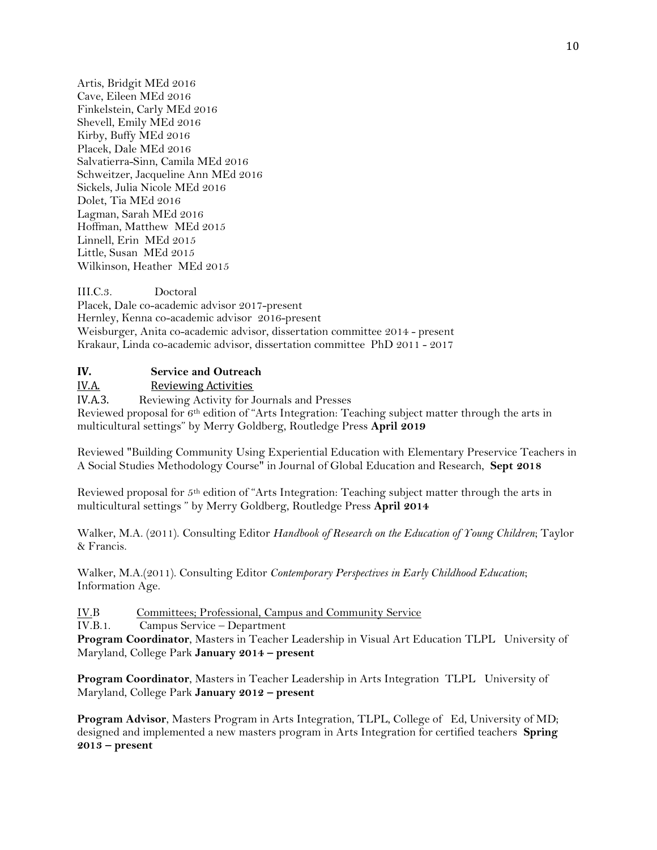Artis, Bridgit MEd 2016 Cave, Eileen MEd 2016 Finkelstein, Carly MEd 2016 Shevell, Emily MEd 2016 Kirby, Buffy MEd 2016 Placek, Dale MEd 2016 Salvatierra-Sinn, Camila MEd 2016 Schweitzer, Jacqueline Ann MEd 2016 Sickels, Julia Nicole MEd 2016 Dolet, Tia MEd 2016 Lagman, Sarah MEd 2016 Hoffman, Matthew MEd 2015 Linnell, Erin MEd 2015 Little, Susan MEd 2015 Wilkinson, Heather MEd 2015

III.C.3. Doctoral Placek, Dale co-academic advisor 2017-present Hernley, Kenna co-academic advisor 2016-present Weisburger, Anita co-academic advisor, dissertation committee 2014 - present Krakaur, Linda co-academic advisor, dissertation committee PhD 2011 - 2017

## **IV. Service and Outreach**

IV.A. Reviewing Activities

IV.A.3. Reviewing Activity for Journals and Presses Reviewed proposal for 6th edition of "Arts Integration: Teaching subject matter through the arts in multicultural settings" by Merry Goldberg, Routledge Press **April 2019**

Reviewed "Building Community Using Experiential Education with Elementary Preservice Teachers in A Social Studies Methodology Course" in Journal of Global Education and Research, **Sept 2018**

Reviewed proposal for  $5<sup>th</sup>$  edition of "Arts Integration: Teaching subject matter through the arts in multicultural settings " by Merry Goldberg, Routledge Press **April 2014**

Walker, M.A. (2011). Consulting Editor *Handbook of Research on the Education of Young Children*; Taylor & Francis.

Walker, M.A.(2011). Consulting Editor *Contemporary Perspectives in Early Childhood Education*; Information Age.

IV.B Committees; Professional, Campus and Community Service

IV.B.1. Campus Service – Department

**Program Coordinator**, Masters in Teacher Leadership in Visual Art Education TLPL University of Maryland, College Park **January 2014 – present**

**Program Coordinator**, Masters in Teacher Leadership in Arts Integration TLPL University of Maryland, College Park **January 2012 – present**

**Program Advisor**, Masters Program in Arts Integration, TLPL, College of Ed, University of MD; designed and implemented a new masters program in Arts Integration for certified teachers **Spring 2013 – present**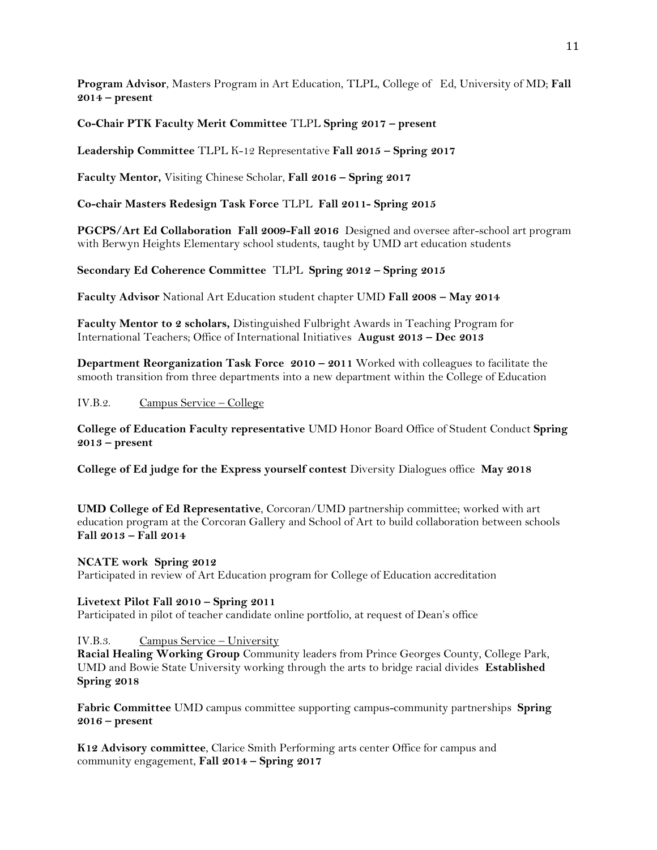**Program Advisor**, Masters Program in Art Education, TLPL, College of Ed, University of MD; **Fall 2014 – present**

## **Co-Chair PTK Faculty Merit Committee** TLPL **Spring 2017 – present**

**Leadership Committee** TLPL K-12 Representative **Fall 2015 – Spring 2017**

**Faculty Mentor,** Visiting Chinese Scholar, **Fall 2016 – Spring 2017**

**Co-chair Masters Redesign Task Force** TLPL **Fall 2011- Spring 2015**

**PGCPS/Art Ed Collaboration Fall 2009-Fall 2016** Designed and oversee after-school art program with Berwyn Heights Elementary school students, taught by UMD art education students

**Secondary Ed Coherence Committee** TLPL **Spring 2012 – Spring 2015**

**Faculty Advisor** National Art Education student chapter UMD **Fall 2008 – May 2014**

**Faculty Mentor to 2 scholars,** Distinguished Fulbright Awards in Teaching Program for International Teachers; Office of International Initiatives **August 2013 – Dec 2013**

**Department Reorganization Task Force 2010 – 2011** Worked with colleagues to facilitate the smooth transition from three departments into a new department within the College of Education

IV.B.2. Campus Service – College

**College of Education Faculty representative** UMD Honor Board Office of Student Conduct **Spring 2013 – present**

**College of Ed judge for the Express yourself contest** Diversity Dialogues office **May 2018**

**UMD College of Ed Representative**, Corcoran/UMD partnership committee; worked with art education program at the Corcoran Gallery and School of Art to build collaboration between schools **Fall 2013 – Fall 2014**

## **NCATE work Spring 2012**

Participated in review of Art Education program for College of Education accreditation

## **Livetext Pilot Fall 2010 – Spring 2011**

Participated in pilot of teacher candidate online portfolio, at request of Dean's office

IV.B.3. Campus Service – University

**Racial Healing Working Group** Community leaders from Prince Georges County, College Park, UMD and Bowie State University working through the arts to bridge racial divides **Established Spring 2018**

**Fabric Committee** UMD campus committee supporting campus-community partnerships **Spring 2016 – present**

**K12 Advisory committee**, Clarice Smith Performing arts center Office for campus and community engagement, **Fall 2014 – Spring 2017**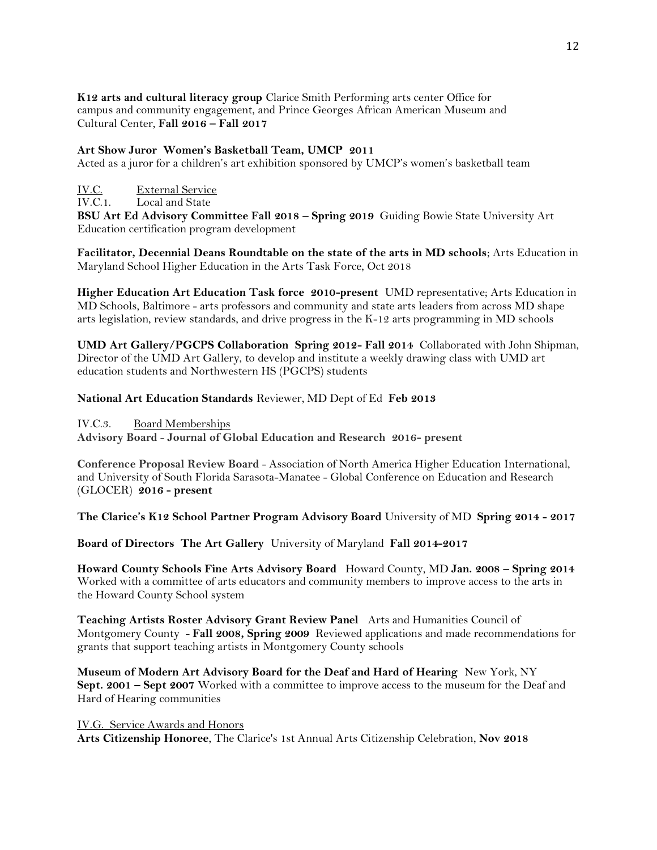**K12 arts and cultural literacy group** Clarice Smith Performing arts center Office for campus and community engagement, and Prince Georges African American Museum and Cultural Center, **Fall 2016 – Fall 2017**

#### **Art Show Juror Women's Basketball Team, UMCP 2011**

Acted as a juror for a children's art exhibition sponsored by UMCP's women's basketball team

IV.C. External Service IV.C.1. Local and State **BSU Art Ed Advisory Committee Fall 2018 – Spring 2019** Guiding Bowie State University Art Education certification program development

**Facilitator, Decennial Deans Roundtable on the state of the arts in MD schools**; Arts Education in Maryland School Higher Education in the Arts Task Force, Oct 2018

**Higher Education Art Education Task force 2010-present** UMD representative; Arts Education in MD Schools, Baltimore - arts professors and community and state arts leaders from across MD shape arts legislation, review standards, and drive progress in the K-12 arts programming in MD schools

**UMD Art Gallery/PGCPS Collaboration Spring 2012- Fall 2014** Collaborated with John Shipman, Director of the UMD Art Gallery, to develop and institute a weekly drawing class with UMD art education students and Northwestern HS (PGCPS) students

#### **National Art Education Standards** Reviewer, MD Dept of Ed **Feb 2013**

IV.C.3. Board Memberships **Advisory Board** - **Journal of Global Education and Research 2016- present**

**Conference Proposal Review Board** - Association of North America Higher Education International, and University of South Florida Sarasota-Manatee - Global Conference on Education and Research (GLOCER) **2016 - present**

**The Clarice's K12 School Partner Program Advisory Board** University of MD **Spring 2014 - 2017**

**Board of Directors The Art Gallery** University of Maryland **Fall 2014-2017**

**Howard County Schools Fine Arts Advisory Board** Howard County, MD **Jan. 2008 – Spring 2014** Worked with a committee of arts educators and community members to improve access to the arts in the Howard County School system

**Teaching Artists Roster Advisory Grant Review Panel** Arts and Humanities Council of Montgomery County - **Fall 2008, Spring 2009** Reviewed applications and made recommendations for grants that support teaching artists in Montgomery County schools

**Museum of Modern Art Advisory Board for the Deaf and Hard of Hearing** New York, NY **Sept. 2001 – Sept 2007** Worked with a committee to improve access to the museum for the Deaf and Hard of Hearing communities

IV.G. Service Awards and Honors **Arts Citizenship Honoree**, The Clarice's 1st Annual Arts Citizenship Celebration, **Nov 2018**